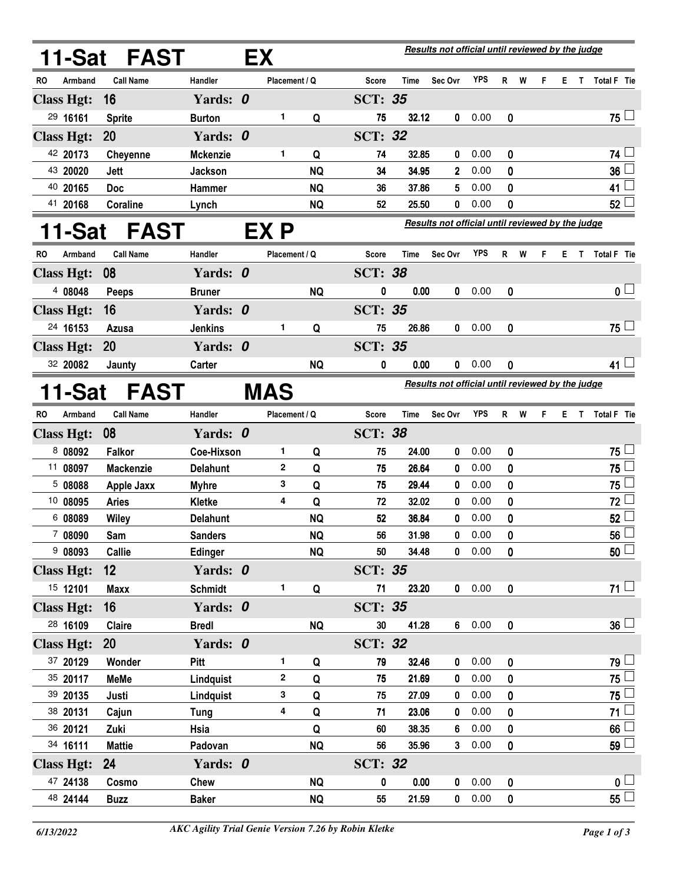|                   |          | 11-Sat FAST       |                   | EX |               | <b>Results not official until reviewed by the judge</b> |                |             |                                                         |        |           |   |   |    |    |                    |
|-------------------|----------|-------------------|-------------------|----|---------------|---------------------------------------------------------|----------------|-------------|---------------------------------------------------------|--------|-----------|---|---|----|----|--------------------|
| RO                | Armband  | <b>Call Name</b>  | Handler           |    | Placement / Q |                                                         | Score          | Time        | Sec Ovr                                                 | YPS    | R         | W | F | Е. | T. | Total F Tie        |
| <b>Class Hgt:</b> |          | 16                | Yards: 0          |    |               |                                                         | <b>SCT: 35</b> |             |                                                         |        |           |   |   |    |    |                    |
|                   | 29 16161 | <b>Sprite</b>     | <b>Burton</b>     |    | 1             | Q                                                       | 75             | 32.12       | 0                                                       | 0.00   | 0         |   |   |    |    | 75 ∟               |
| <b>Class Hgt:</b> |          | 20                | Yards: 0          |    |               |                                                         | <b>SCT: 32</b> |             |                                                         |        |           |   |   |    |    |                    |
|                   | 42 20173 | <b>Cheyenne</b>   | <b>Mckenzie</b>   |    | 1             | Q                                                       | 74             | 32.85       | 0                                                       | 0.00   | 0         |   |   |    |    | 74                 |
|                   | 43 20020 | Jett              | <b>Jackson</b>    |    |               | <b>NQ</b>                                               | 34             | 34.95       | 2                                                       | 0.00   | 0         |   |   |    |    | 36                 |
|                   | 40 20165 | <b>Doc</b>        | <b>Hammer</b>     |    |               | <b>NQ</b>                                               | 36             | 37.86       | 5                                                       | 0.00   | 0         |   |   |    |    | 41                 |
|                   | 41 20168 | Coraline          | Lynch             |    |               | <b>NQ</b>                                               | 52             | 25.50       | 0                                                       | 0.00   | 0         |   |   |    |    | 52                 |
|                   | 1-Sat    | <b>FAST</b>       |                   |    | EX P          |                                                         |                |             | <b>Results not official until reviewed by the judge</b> |        |           |   |   |    |    |                    |
| <b>RO</b>         | Armband  | <b>Call Name</b>  | Handler           |    | Placement / Q |                                                         | Score          | Time        | Sec Ovr                                                 | YPS    | R         | W | F | Е  | T  | Total F Tie        |
| <b>Class Hgt:</b> |          | 08                | Yards: 0          |    |               |                                                         | <b>SCT: 38</b> |             |                                                         |        |           |   |   |    |    |                    |
|                   | 4 08048  | <b>Peeps</b>      | <b>Bruner</b>     |    |               | <b>NQ</b>                                               | 0              | 0.00        | 0                                                       | 0.00   | 0         |   |   |    |    | 0 <sub>1</sub>     |
| <b>Class Hgt:</b> |          | 16                | Yards: 0          |    |               |                                                         | <b>SCT: 35</b> |             |                                                         |        |           |   |   |    |    |                    |
|                   | 24 16153 | Azusa             | <b>Jenkins</b>    |    | 1             | Q                                                       | 75             | 26.86       | 0                                                       | 0.00   | 0         |   |   |    |    | $75 -$             |
| <b>Class Hgt:</b> |          | 20                | Yards: 0          |    |               |                                                         | <b>SCT: 35</b> |             |                                                         |        |           |   |   |    |    |                    |
|                   | 32 20082 | Jaunty            | Carter            |    |               | <b>NQ</b>                                               | 0              | 0.00        | 0                                                       | 0.00   | 0         |   |   |    |    | 41 ↓               |
|                   | 1-Sat    | <b>FAST</b>       |                   |    | <b>MAS</b>    | <b>Results not official until reviewed by the judge</b> |                |             |                                                         |        |           |   |   |    |    |                    |
| <b>RO</b>         | Armband  | <b>Call Name</b>  | Handler           |    | Placement / Q |                                                         | Score          | <b>Time</b> | Sec Ovr                                                 | YPS    | R         | W | F | Е  | Т  | <b>Total F</b> Tie |
| <b>Class Hgt:</b> |          | 08                | Yards: 0          |    |               |                                                         | <b>SCT: 38</b> |             |                                                         |        |           |   |   |    |    |                    |
|                   | 8 08092  | <b>Falkor</b>     | <b>Coe-Hixson</b> |    | 1             | Q                                                       | 75             | 24.00       | 0                                                       | 0.00   | 0         |   |   |    |    | 75                 |
|                   | 11 08097 | <b>Mackenzie</b>  | <b>Delahunt</b>   |    | 2             | Q                                                       | 75             | 26.64       | 0                                                       | 0.00   | 0         |   |   |    |    | 75                 |
|                   | 5 08088  | <b>Apple Jaxx</b> | <b>Myhre</b>      |    | 3             | Q                                                       | 75             | 29.44       | 0                                                       | 0.00   | 0         |   |   |    |    | 75                 |
|                   | 10 08095 | <b>Aries</b>      | Kletke            |    | 4             | Q                                                       | 72             | 32.02       | 0                                                       | 0.00   | 0         |   |   |    |    | 72                 |
|                   | 6 08089  | <b>Wiley</b>      | Delahunt          |    |               | <b>NQ</b>                                               | 52             | 36.84       | 0                                                       | 0.00   | 0         |   |   |    |    | 52                 |
|                   | 7 08090  | Sam               | <b>Sanders</b>    |    |               | <b>NQ</b>                                               | 56             | 31.98       | 0                                                       | 0.00   | 0         |   |   |    |    | 56                 |
|                   | 908093   | Callie            | <b>Edinger</b>    |    |               | <b>NQ</b>                                               | 50             | 34.48       |                                                         | 0 0.00 | 0         |   |   |    |    | 50 <sup>1</sup>    |
| <b>Class Hgt:</b> |          | 12 <sup>°</sup>   | Yards: 0          |    |               |                                                         | <b>SCT: 35</b> |             |                                                         |        |           |   |   |    |    |                    |
|                   | 15 12101 | <b>Maxx</b>       | <b>Schmidt</b>    |    | 1             | Q                                                       | 71             | 23.20       |                                                         | 0 0.00 | 0         |   |   |    |    | $71 \Box$          |
| <b>Class Hgt:</b> |          | 16 <sup>°</sup>   | Yards: 0          |    |               |                                                         | <b>SCT: 35</b> |             |                                                         |        |           |   |   |    |    |                    |
|                   | 28 16109 | Claire            | <b>Bredl</b>      |    |               | <b>NQ</b>                                               | 30             | 41.28       |                                                         | 60.00  | $\pmb{0}$ |   |   |    |    | $36 -$             |
| <b>Class Hgt:</b> |          | <b>20</b>         | Yards: 0          |    |               |                                                         | <b>SCT: 32</b> |             |                                                         |        |           |   |   |    |    |                    |
|                   | 37 20129 | Wonder            | Pitt              |    | 1             | Q                                                       | 79             | 32.46       | $\mathbf 0$                                             | 0.00   | 0         |   |   |    |    | 79 l               |
|                   | 35 20117 | <b>MeMe</b>       | Lindquist         |    | $\mathbf 2$   | Q                                                       | 75             | 21.69       | 0                                                       | 0.00   | 0         |   |   |    |    | 75 l               |
|                   | 39 20135 | Justi             | Lindquist         |    | 3             | Q                                                       | 75             | 27.09       | 0                                                       | 0.00   | 0         |   |   |    |    | 75                 |
|                   | 38 20131 | Cajun             | Tung              |    | 4             | Q                                                       | 71             | 23.06       | 0                                                       | 0.00   | 0         |   |   |    |    | 71 <sup>1</sup>    |
|                   | 36 20121 | Zuki              | Hsia              |    |               | Q                                                       | 60             | 38.35       | 6                                                       | 0.00   | 0         |   |   |    |    | 66                 |
|                   | 34 16111 | <b>Mattie</b>     | Padovan           |    |               | <b>NQ</b>                                               | 56             | 35.96       |                                                         | 30.00  | 0         |   |   |    |    | 59 <sup>1</sup>    |
| <b>Class Hgt:</b> |          | 24                | Yards: 0          |    |               |                                                         | <b>SCT: 32</b> |             |                                                         |        |           |   |   |    |    |                    |
|                   | 47 24138 | Cosmo             | Chew              |    |               | <b>NQ</b>                                               | 0              | 0.00        | $\mathbf 0$                                             | 0.00   | 0         |   |   |    |    | 0 <sub>1</sub>     |
|                   | 48 24144 | <b>Buzz</b>       | <b>Baker</b>      |    |               | <b>NQ</b>                                               | 55             | 21.59       |                                                         | 0 0.00 | 0         |   |   |    |    | 55 L               |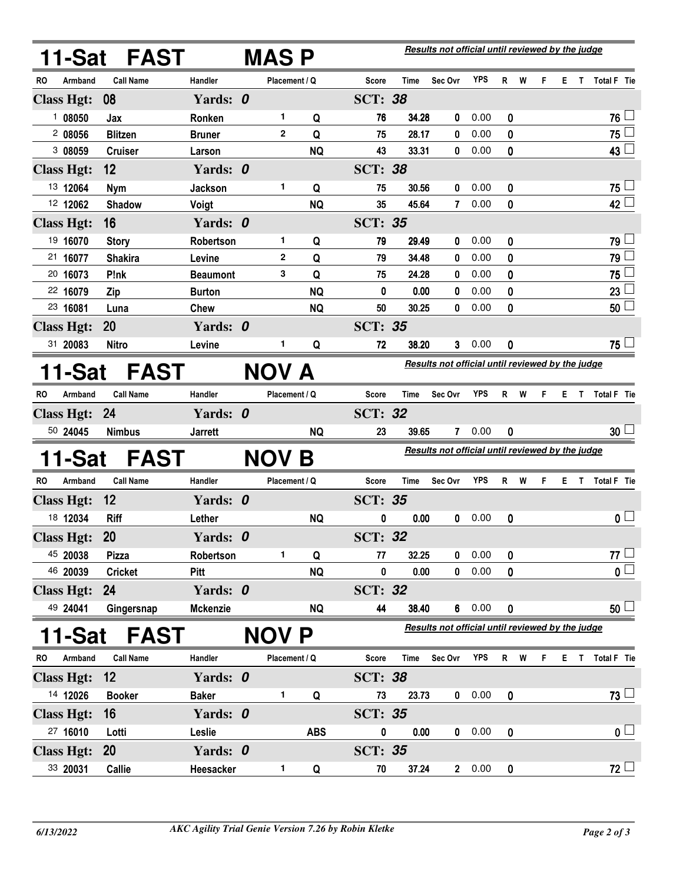|                       |                   | 11-Sat FAST      |                 |  | <b>MAS P</b>  |            | Results not official until reviewed by the judge |             |                                                  |            |             |     |                                                  |    |              |                         |  |  |
|-----------------------|-------------------|------------------|-----------------|--|---------------|------------|--------------------------------------------------|-------------|--------------------------------------------------|------------|-------------|-----|--------------------------------------------------|----|--------------|-------------------------|--|--|
| RO                    | Armband           | <b>Call Name</b> | Handler         |  | Placement / Q |            | Score                                            | Time        | Sec Ovr                                          | <b>YPS</b> |             | R W | F.                                               |    |              | E T Total F Tie         |  |  |
|                       | <b>Class Hgt:</b> | 08               | Yards: 0        |  |               |            | <b>SCT: 38</b>                                   |             |                                                  |            |             |     |                                                  |    |              |                         |  |  |
|                       | 108050            | Jax              | Ronken          |  | 1.            | Q          | 76                                               | 34.28       | 0                                                | 0.00       | 0           |     |                                                  |    |              | 76 ↓                    |  |  |
|                       | 2 08056           | <b>Blitzen</b>   | <b>Bruner</b>   |  | $\mathbf{2}$  | Q          | 75                                               | 28.17       | 0                                                | 0.00       | 0           |     |                                                  |    |              | $75$ $-$                |  |  |
|                       | 3 08059           | <b>Cruiser</b>   | Larson          |  |               | <b>NQ</b>  | 43                                               | 33.31       | 0                                                | 0.00       | 0           |     |                                                  |    |              | $43\Box$                |  |  |
|                       | <b>Class Hgt:</b> | 12               | Yards: 0        |  |               |            | <b>SCT: 38</b>                                   |             |                                                  |            |             |     |                                                  |    |              |                         |  |  |
|                       | 13 12064          | <b>Nym</b>       | <b>Jackson</b>  |  | 1             | Q          | 75                                               | 30.56       | 0                                                | 0.00       | 0           |     |                                                  |    |              | $75 -$                  |  |  |
|                       | 12 12062          | <b>Shadow</b>    | Voigt           |  |               | <b>NQ</b>  | 35                                               | 45.64       | $\mathbf{7}$                                     | 0.00       | 0           |     |                                                  |    |              | $42 \Box$               |  |  |
|                       | <b>Class Hgt:</b> | 16               | Yards: 0        |  |               |            | <b>SCT: 35</b>                                   |             |                                                  |            |             |     |                                                  |    |              |                         |  |  |
|                       | 19 16070          | <b>Story</b>     | Robertson       |  | 1.            | Q          | 79                                               | 29.49       | 0                                                | 0.00       | 0           |     |                                                  |    |              | $79 -$                  |  |  |
|                       | 21 16077          | <b>Shakira</b>   | Levine          |  | $\mathbf{2}$  | Q          | 79                                               | 34.48       | 0                                                | 0.00       | 0           |     |                                                  |    |              | 79                      |  |  |
|                       | 20 16073          | P!nk             | <b>Beaumont</b> |  | 3             | Q          | 75                                               | 24.28       | 0                                                | 0.00       | 0           |     |                                                  |    |              | 75 L                    |  |  |
|                       | 22 16079          | Zip              | <b>Burton</b>   |  |               | <b>NQ</b>  | 0                                                | 0.00        | 0                                                | 0.00       | 0           |     |                                                  |    |              | 23 <sup>1</sup>         |  |  |
|                       | 23 16081          | Luna             | <b>Chew</b>     |  |               | <b>NQ</b>  | 50                                               | 30.25       | 0                                                | 0.00       | 0           |     |                                                  |    |              | $50$ $\Box$             |  |  |
|                       | <b>Class Hgt:</b> | 20               | Yards: 0        |  |               |            | <b>SCT: 35</b>                                   |             |                                                  |            |             |     |                                                  |    |              |                         |  |  |
|                       | 31 20083          | <b>Nitro</b>     | Levine          |  | 1.            | Q          | 72                                               | 38.20       | 3                                                | 0.00       | 0           |     |                                                  |    |              | $75 -$                  |  |  |
| 11-Sat<br><b>FAST</b> |                   |                  |                 |  | NOV A         |            |                                                  |             | Results not official until reviewed by the judge |            |             |     |                                                  |    |              |                         |  |  |
| RO.                   | Armband           | <b>Call Name</b> | Handler         |  | Placement / Q |            | Score                                            | <b>Time</b> | Sec Ovr                                          | <b>YPS</b> | R           | W   | F.                                               | Е. | $\mathbf{T}$ | Total F Tie             |  |  |
|                       | <b>Class Hgt:</b> | <b>24</b>        | Yards: 0        |  |               |            | <b>SCT: 32</b>                                   |             |                                                  |            |             |     |                                                  |    |              |                         |  |  |
|                       | 50 24045          | <b>Nimbus</b>    | <b>Jarrett</b>  |  |               | <b>NQ</b>  | 23                                               | 39.65       | $\mathbf{7}$                                     | 0.00       | 0           |     |                                                  |    |              | 30 <sup>1</sup>         |  |  |
|                       | 11-Sat            | <b>FAST</b>      |                 |  | <b>NOV B</b>  |            | Results not official until reviewed by the judge |             |                                                  |            |             |     |                                                  |    |              |                         |  |  |
| RO.                   | Armband           | <b>Call Name</b> | Handler         |  | Placement / Q |            | Score                                            | Time        | Sec Ovr                                          | <b>YPS</b> |             | R W | F.                                               | Е. | $\mathbf{T}$ | Total F Tie             |  |  |
|                       | <b>Class Hgt:</b> | 12               | Yards: 0        |  |               |            | <b>SCT: 35</b>                                   |             |                                                  |            |             |     |                                                  |    |              |                         |  |  |
|                       | 18 12034          | <b>Riff</b>      | Lether          |  |               | <b>NQ</b>  | 0                                                | 0.00        | 0                                                | 0.00       | 0           |     |                                                  |    |              | 0 <sub>1</sub>          |  |  |
|                       | <b>Class Hgt:</b> | 20               | Yards: 0        |  |               |            | <b>SCT: 32</b>                                   |             |                                                  |            |             |     |                                                  |    |              |                         |  |  |
|                       | 45 20038          | <b>Pizza</b>     | Robertson       |  | 1.            | Q          | 77                                               | 32.25       | 0                                                | 0.00       | 0           |     |                                                  |    |              | $77\square$             |  |  |
|                       | 46 20039          | <b>Cricket</b>   | Pitt            |  |               | <b>NQ</b>  | 0                                                | 0.00        | $\mathbf 0$                                      | 0.00       | 0           |     |                                                  |    |              | $\overline{\mathbf{0}}$ |  |  |
|                       | <b>Class Hgt:</b> | 24               | Yards: 0        |  |               |            | <b>SCT: 32</b>                                   |             |                                                  |            |             |     |                                                  |    |              |                         |  |  |
|                       | 49 24041          | Gingersnap       | <b>Mckenzie</b> |  |               | <b>NQ</b>  | 44                                               | 38.40       |                                                  | 60.00      | 0           |     |                                                  |    |              | 50 <sup>1</sup>         |  |  |
|                       | 11-Sat            | <b>FAST</b>      |                 |  | <b>NOV P</b>  |            |                                                  |             |                                                  |            |             |     | Results not official until reviewed by the judge |    |              |                         |  |  |
| RO.                   | Armband           | <b>Call Name</b> | Handler         |  | Placement / Q |            | <b>Score</b>                                     | Time        | Sec Ovr                                          | YPS        |             | R W | F.                                               |    |              | E T Total F Tie         |  |  |
|                       | <b>Class Hgt:</b> | 12               | Yards: 0        |  |               |            | <b>SCT: 38</b>                                   |             |                                                  |            |             |     |                                                  |    |              |                         |  |  |
|                       | 14 12026          | <b>Booker</b>    | <b>Baker</b>    |  | 1.            | Q          | 73                                               | 23.73       |                                                  | 0 0.00     | $\pmb{0}$   |     |                                                  |    |              | $73 \Box$               |  |  |
|                       | <b>Class Hgt:</b> | 16               | Yards: 0        |  |               |            | <b>SCT: 35</b>                                   |             |                                                  |            |             |     |                                                  |    |              |                         |  |  |
|                       | 27 16010          | Lotti            | Leslie          |  |               | <b>ABS</b> | 0                                                | 0.00        |                                                  | 0 0.00     | $\mathbf 0$ |     |                                                  |    |              | 0 <sub>1</sub>          |  |  |
|                       | <b>Class Hgt:</b> | 20               | Yards: 0        |  |               |            | <b>SCT: 35</b>                                   |             |                                                  |            |             |     |                                                  |    |              |                         |  |  |
|                       | 33 20031          | Callie           | Heesacker       |  | 1             | Q          | 70                                               | 37.24       |                                                  | 20.00      | 0           |     |                                                  |    |              | 72                      |  |  |
|                       |                   |                  |                 |  |               |            |                                                  |             |                                                  |            |             |     |                                                  |    |              |                         |  |  |